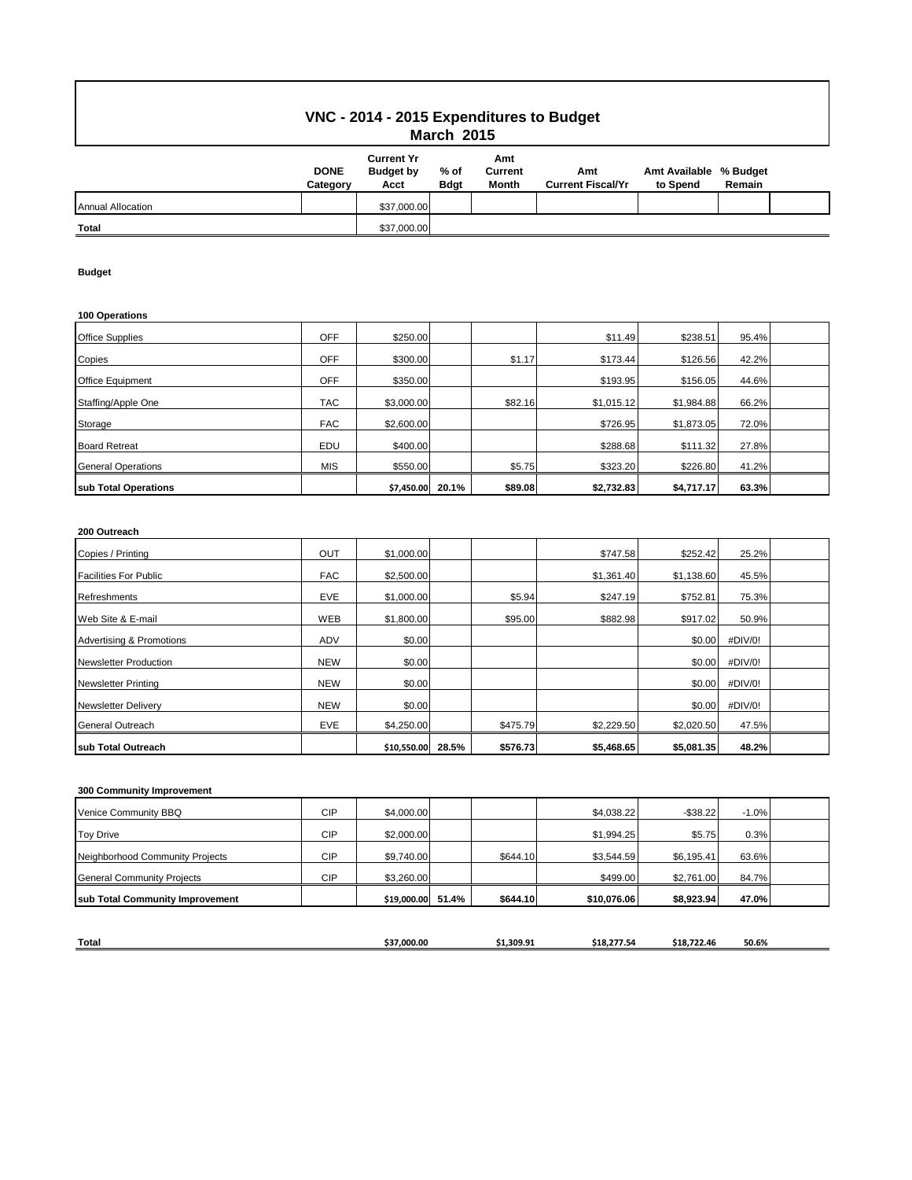## **VNC - 2014 - 2015 Expenditures to Budget March 2015**

|                          | <b>DONE</b><br>Category | <b>Current Yr</b><br><b>Budget by</b><br>Acct | % of<br><b>Bdgt</b> | Amt<br>Current<br><b>Month</b> | Amt<br><b>Current Fiscal/Yr</b> | Amt Available % Budget<br>to Spend | Remain |  |
|--------------------------|-------------------------|-----------------------------------------------|---------------------|--------------------------------|---------------------------------|------------------------------------|--------|--|
| <b>Annual Allocation</b> |                         | \$37,000.00                                   |                     |                                |                                 |                                    |        |  |
| <b>Total</b>             |                         | \$37,000.00                                   |                     |                                |                                 |                                    |        |  |

### **Budget**

#### **100 Operations**

| <b>Office Supplies</b>    | <b>OFF</b> | \$250.00   |       |         | \$11.49    | \$238.51   | 95.4% |  |
|---------------------------|------------|------------|-------|---------|------------|------------|-------|--|
| Copies                    | <b>OFF</b> | \$300.00   |       | \$1.17  | \$173.44   | \$126.56   | 42.2% |  |
| <b>Office Equipment</b>   | <b>OFF</b> | \$350.00   |       |         | \$193.95   | \$156.05   | 44.6% |  |
| Staffing/Apple One        | <b>TAC</b> | \$3,000.00 |       | \$82.16 | \$1.015.12 | \$1,984.88 | 66.2% |  |
| Storage                   | <b>FAC</b> | \$2,600.00 |       |         | \$726.95   | \$1,873.05 | 72.0% |  |
| <b>Board Retreat</b>      | EDU        | \$400.00   |       |         | \$288.68   | \$111.32   | 27.8% |  |
| <b>General Operations</b> | <b>MIS</b> | \$550.00   |       | \$5.75  | \$323.20   | \$226.80   | 41.2% |  |
| sub Total Operations      |            | \$7,450.00 | 20.1% | \$89.08 | \$2,732.83 | \$4,717.17 | 63.3% |  |

### **200 Outreach**

| Copies / Printing                   | OUT        | \$1,000.00  |       |          | \$747.58   | \$252.42   | 25.2%   |  |
|-------------------------------------|------------|-------------|-------|----------|------------|------------|---------|--|
| <b>Facilities For Public</b>        | <b>FAC</b> | \$2,500.00  |       |          | \$1,361.40 | \$1,138.60 | 45.5%   |  |
| Refreshments                        | <b>EVE</b> | \$1,000.00  |       | \$5.94   | \$247.19   | \$752.81   | 75.3%   |  |
| Web Site & E-mail                   | WEB        | \$1,800.00  |       | \$95.00  | \$882.98   | \$917.02   | 50.9%   |  |
| <b>Advertising &amp; Promotions</b> | <b>ADV</b> | \$0.00      |       |          |            | \$0.00     | #DIV/0! |  |
| <b>Newsletter Production</b>        | <b>NEW</b> | \$0.00      |       |          |            | \$0.00     | #DIV/0! |  |
| <b>Newsletter Printing</b>          | <b>NEW</b> | \$0.00      |       |          |            | \$0.00     | #DIV/0! |  |
| <b>Newsletter Delivery</b>          | <b>NEW</b> | \$0.00      |       |          |            | \$0.00     | #DIV/0! |  |
| <b>General Outreach</b>             | <b>EVE</b> | \$4,250.00  |       | \$475.79 | \$2,229.50 | \$2,020.50 | 47.5%   |  |
| sub Total Outreach                  |            | \$10,550.00 | 28.5% | \$576.73 | \$5,468.65 | \$5,081.35 | 48.2%   |  |

### **300 Community Improvement**

| sub Total Community Improvement   |            | \$19,000.00 51.4% | \$644.10 | \$10,076,06 | \$8,923.94  | 47.0%   |  |
|-----------------------------------|------------|-------------------|----------|-------------|-------------|---------|--|
|                                   |            |                   |          |             |             |         |  |
| <b>General Community Projects</b> | <b>CIP</b> | \$3,260.00        |          | \$499.00    | \$2,761.00  | 84.7%   |  |
| Neighborhood Community Projects   | <b>CIP</b> | \$9,740.00        | \$644.10 | \$3,544.59  | \$6,195.41  | 63.6%   |  |
| <b>Toy Drive</b>                  | <b>CIP</b> | \$2,000.00        |          | \$1.994.25  | \$5.75      | 0.3%    |  |
| Venice Community BBQ              | <b>CIP</b> | \$4,000.00        |          | \$4,038.22  | $-$ \$38.22 | $-1.0%$ |  |

| <b>Total</b> | \$37.000.00 | .309.91 | ----<br>277.50<br>81× | -18.722.46 | 50.6% |
|--------------|-------------|---------|-----------------------|------------|-------|
|              |             |         |                       |            |       |